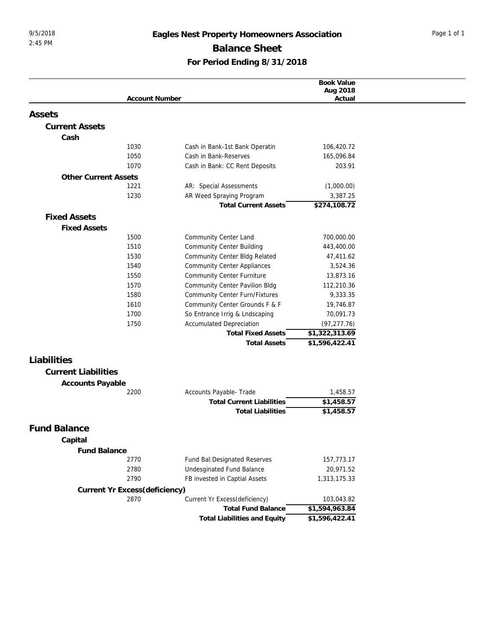## 9/5/2018 **Eagles Nest Property Homeowners Association** Page 1 of 1 **Balance Sheet For Period Ending 8/31/2018**

|                             |                               |                                                            | Book Value                   |  |
|-----------------------------|-------------------------------|------------------------------------------------------------|------------------------------|--|
|                             | <b>Account Number</b>         |                                                            | Aug 2018<br>Actual           |  |
|                             |                               |                                                            |                              |  |
| Assets                      |                               |                                                            |                              |  |
| <b>Current Assets</b>       |                               |                                                            |                              |  |
| Cash                        |                               |                                                            |                              |  |
|                             | 1030                          | Cash in Bank-1st Bank Operatin                             | 106,420.72                   |  |
|                             | 1050                          | Cash in Bank-Reserves                                      | 165,096.84                   |  |
|                             | 1070                          | Cash in Bank: CC Rent Deposits                             | 203.91                       |  |
| <b>Other Current Assets</b> |                               |                                                            |                              |  |
|                             | 1221                          | AR: Special Assessments                                    | (1,000.00)                   |  |
|                             | 1230                          | AR Weed Spraying Program                                   | 3,387.25                     |  |
|                             |                               | <b>Total Current Assets</b>                                | \$274,108.72                 |  |
| <b>Fixed Assets</b>         |                               |                                                            |                              |  |
| <b>Fixed Assets</b>         |                               |                                                            |                              |  |
|                             | 1500                          | Community Center Land                                      | 700,000.00                   |  |
|                             | 1510                          | <b>Community Center Building</b>                           | 443,400.00                   |  |
|                             | 1530                          | Community Center Bldg Related                              | 47,411.62                    |  |
|                             | 1540                          | <b>Community Center Appliances</b>                         | 3,524.36                     |  |
|                             | 1550                          | <b>Community Center Furniture</b>                          | 13,873.16                    |  |
|                             | 1570                          | Community Center Pavilion Bldg                             | 112,210.36                   |  |
|                             | 1580                          | Community Center Furn/Fixtures                             | 9,333.35                     |  |
|                             | 1610                          | Community Center Grounds F & F                             | 19,746.87                    |  |
|                             | 1700                          | So Entrance Irrig & Lndscaping                             | 70,091.73                    |  |
|                             | 1750                          | <b>Accumulated Depreciation</b>                            | (97, 277.76)                 |  |
|                             |                               | <b>Total Fixed Assets</b>                                  | \$1,322,313.69               |  |
|                             |                               | <b>Total Assets</b>                                        | \$1,596,422.41               |  |
| Liabilities                 |                               |                                                            |                              |  |
|                             |                               |                                                            |                              |  |
| <b>Current Liabilities</b>  |                               |                                                            |                              |  |
| Accounts Payable            |                               |                                                            |                              |  |
|                             | 2200                          | Accounts Payable- Trade                                    | 1,458.57<br>\$1,458.57       |  |
|                             |                               | <b>Total Current Liabilities</b>                           |                              |  |
|                             |                               | <b>Total Liabilities</b>                                   | \$1,458.57                   |  |
| <b>Fund Balance</b>         |                               |                                                            |                              |  |
| Capital                     |                               |                                                            |                              |  |
| Fund Balance                |                               |                                                            |                              |  |
|                             | 2770                          | Fund Bal: Designated Reserves                              | 157,773.17                   |  |
|                             |                               |                                                            |                              |  |
|                             |                               |                                                            |                              |  |
|                             | 2780<br>2790                  | Undesginated Fund Balance                                  | 20,971.52                    |  |
|                             |                               | FB invested in Captial Assets                              | 1,313,175.33                 |  |
|                             | Current Yr Excess(deficiency) |                                                            |                              |  |
|                             | 2870                          | Current Yr Excess(deficiency)<br><b>Total Fund Balance</b> | 103,043.82<br>\$1,594,963.84 |  |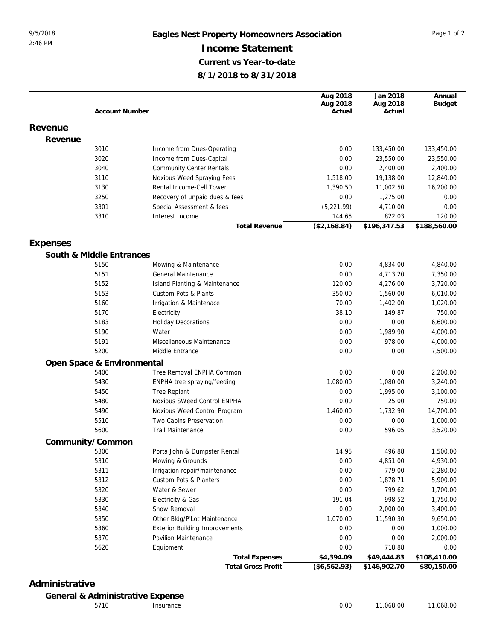## 9/5/2018 **Eagles Nest Property Homeowners Association** Page 1 of 2 **Income Statement Current vs Year-to-date 8/1/2018 to 8/31/2018**

|          |                            |                                       | Aug 2018     | Jan 2018     | Annual        |
|----------|----------------------------|---------------------------------------|--------------|--------------|---------------|
|          |                            |                                       | Aug 2018     | Aug 2018     | <b>Budget</b> |
|          | <b>Account Number</b>      |                                       | Actual       | Actual       |               |
| Revenue  |                            |                                       |              |              |               |
| Revenue  |                            |                                       |              |              |               |
|          | 3010                       | Income from Dues-Operating            | 0.00         | 133,450.00   | 133,450.00    |
|          | 3020                       | Income from Dues-Capital              | 0.00         | 23,550.00    | 23,550.00     |
|          | 3040                       | <b>Community Center Rentals</b>       | 0.00         | 2,400.00     | 2,400.00      |
|          | 3110                       | Noxious Weed Spraying Fees            | 1,518.00     | 19,138.00    | 12,840.00     |
|          | 3130                       | Rental Income-Cell Tower              | 1,390.50     | 11,002.50    | 16,200.00     |
|          | 3250                       | Recovery of unpaid dues & fees        | 0.00         | 1,275.00     | 0.00          |
|          | 3301                       | Special Assessment & fees             | (5, 221.99)  | 4,710.00     | 0.00          |
|          | 3310                       | Interest Income                       | 144.65       | 822.03       | 120.00        |
|          |                            | <b>Total Revenue</b>                  | (\$2,168.84) | \$196,347.53 | \$188,560.00  |
| Expenses |                            |                                       |              |              |               |
|          | South & Middle Entrances   |                                       |              |              |               |
|          | 5150                       | Mowing & Maintenance                  | 0.00         | 4,834.00     | 4,840.00      |
|          | 5151                       | General Maintenance                   | 0.00         | 4,713.20     | 7,350.00      |
|          | 5152                       | Island Planting & Maintenance         | 120.00       | 4,276.00     | 3,720.00      |
|          | 5153                       | <b>Custom Pots &amp; Plants</b>       | 350.00       | 1,560.00     | 6,010.00      |
|          | 5160                       | Irrigation & Maintenace               | 70.00        | 1,402.00     | 1,020.00      |
|          | 5170                       | Electricity                           | 38.10        | 149.87       | 750.00        |
|          | 5183                       | <b>Holiday Decorations</b>            | 0.00         | 0.00         | 6,600.00      |
|          | 5190                       | Water                                 | 0.00         | 1,989.90     | 4,000.00      |
|          | 5191                       | Miscellaneous Maintenance             | 0.00         | 978.00       | 4,000.00      |
|          | 5200                       | Middle Entrance                       | 0.00         | 0.00         | 7,500.00      |
|          | Open Space & Environmental |                                       |              |              |               |
|          | 5400                       | Tree Removal ENPHA Common             | 0.00         | 0.00         | 2,200.00      |
|          | 5430                       | ENPHA tree spraying/feeding           | 1,080.00     | 1,080.00     | 3,240.00      |
|          | 5450                       | <b>Tree Replant</b>                   | 0.00         | 1,995.00     | 3,100.00      |
|          | 5480                       | Noxious SWeed Control ENPHA           | 0.00         | 25.00        | 750.00        |
|          | 5490                       | Noxious Weed Control Program          | 1,460.00     | 1,732.90     | 14,700.00     |
|          | 5510                       | Two Cabins Preservation               | 0.00         | 0.00         | 1,000.00      |
|          | 5600                       | <b>Trail Maintenance</b>              | 0.00         | 596.05       | 3,520.00      |
|          | Community/Common           |                                       |              |              |               |
|          | 5300                       | Porta John & Dumpster Rental          | 14.95        | 496.88       | 1,500.00      |
|          | 5310                       | Mowing & Grounds                      | 0.00         | 4,851.00     | 4,930.00      |
|          | 5311                       | Irrigation repair/maintenance         | 0.00         | 779.00       | 2,280.00      |
|          | 5312                       | Custom Pots & Planters                | 0.00         | 1,878.71     | 5,900.00      |
|          | 5320                       | Water & Sewer                         | 0.00         | 799.62       | 1,700.00      |
|          | 5330                       | Electricity & Gas                     | 191.04       | 998.52       | 1,750.00      |
|          | 5340                       | Snow Removal                          | 0.00         | 2,000.00     | 3,400.00      |
|          | 5350                       | Other Bldg/P'Lot Maintenance          | 1,070.00     | 11,590.30    | 9,650.00      |
|          | 5360                       | <b>Exterior Building Improvements</b> | 0.00         | 0.00         | 1,000.00      |
|          | 5370                       | Pavilion Maintenance                  | 0.00         | 0.00         | 2,000.00      |
|          | 5620                       | Equipment                             | 0.00         | 718.88       | 0.00          |
|          |                            | <b>Total Expenses</b>                 | \$4,394.09   | \$49,444.83  | \$108,410.00  |
|          |                            | <b>Total Gross Profit</b>             | (\$6,562.93) | \$146,902.70 | \$80,150.00   |

## **Administrative**

**General & Administrative Expense**